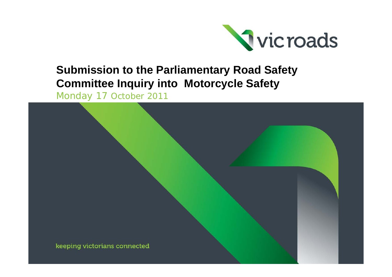

### **Submission to the Parliamentary Road Safety Committee Inquiry into Motorcycle Safety**

Monday 17 October 2011

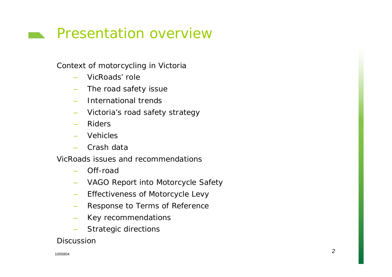# **Presentation overview**

Context of motorcycling in Victoria

- –VicRoads' role
- –The road safety issue
- International trends
- –Victoria's road safety strategy
- –Riders
- Vehicles
- –Crash data

VicRoads issues and recommendations

- –Off-road
- VAGO Report into Motorcycle Safety
- –Effectiveness of Motorcycle Levy
- –Response to Terms of Reference
- –Key recommendations
- Strategic directions

**Discussion**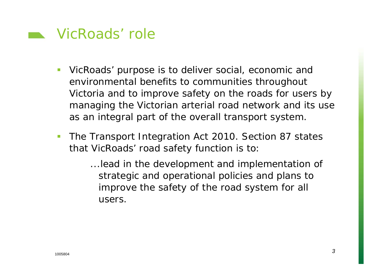

- VicRoads' purpose is to deliver social, economic and environmental benefits to communities throughout Victoria and to improve safety on the roads for users by managing the Victorian arterial road network and its use as an integral part of the overall transport system.
- The *Transport Integration Act 2010.* Section 87 states that VicRoads' road safety function is to:
	- *...lead in the development and implementation of strategic and operational policies and plans to improve the safety of the road system for all users*.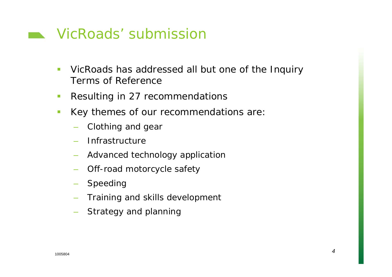### **NicRoads' submission**

- $\mathcal{C}^{\mathcal{A}}$  VicRoads has addressed all but one of the Inquiry Terms of Reference
- $\mathcal{L}_{\mathcal{A}}$ Resulting in 27 recommendations
- $\overline{\phantom{a}}$  Key themes of our recommendations are:
	- –Clothing and gear
	- Infrastructure
	- Advanced technology application
	- –Off-road motorcycle safety
	- Speeding
	- Training and skills development
	- Strategy and planning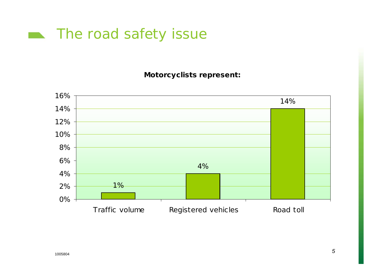

**Motorcyclists represent:**

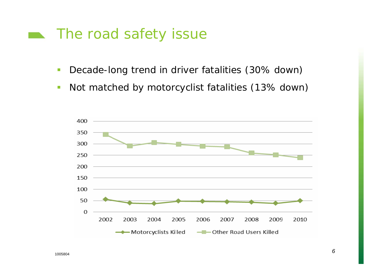#### The road safety issue

- $\mathcal{C}$ Decade-long trend in driver fatalities (30% down)
- $\overline{\mathbb{R}^n}$ Not matched by motorcyclist fatalities (13% down)

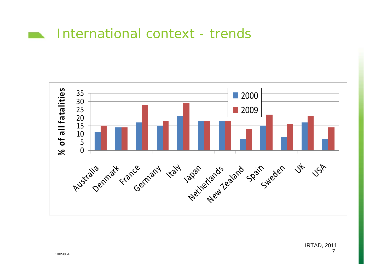#### International context - trends**Contract Contract**

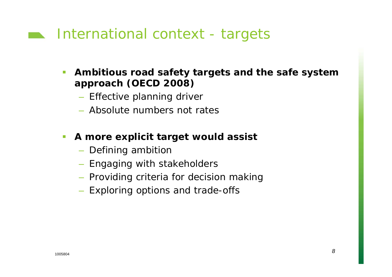## **International context - targets**

- **Ambitious road safety targets and the safe system approach (OECD 2008)**
	- Effective planning driver
	- Absolute numbers not rates

#### $\mathcal{L}_{\mathcal{A}}$ **A more explicit target would assist**

- Defining ambition
- Engaging with stakeholders
- Providing criteria for decision making
- Exploring options and trade-offs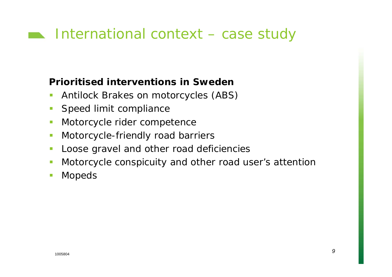# **International context – case study**

#### **Prioritised interventions in Sweden**

- $\mathcal{C}$ Antilock Brakes on motorcycles (ABS)
- $\Box$ Speed limit compliance
- $\Box$ Motorcycle rider competence
- $\mathcal{L}_{\mathcal{A}}$ Motorcycle-friendly road barriers
- $\mathcal{L}_{\mathcal{A}}$ Loose gravel and other road deficiencies
- $\Box$ Motorcycle conspicuity and other road user's attention
- $\mathbb{R}^3$ Mopeds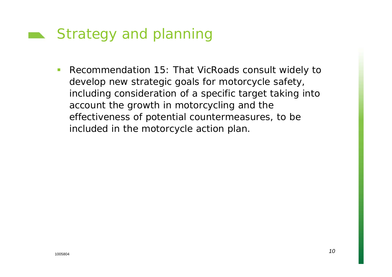## Strategy and planning

 $\mathcal{L}^{\text{max}}$  *Recommendation 15:* That VicRoads consult widely to develop new strategic goals for motorcycle safety, including consideration of a specific target taking into account the growth in motorcycling and the effectiveness of potential countermeasures, to be included in the motorcycle action plan.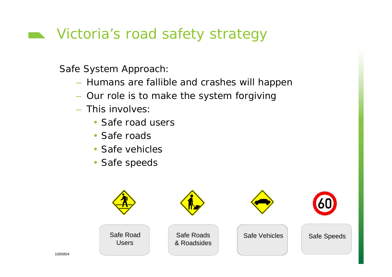# Victoria's road safety strategy

Safe System Approach:

- Humans are fallible and crashes will happen
- Our role is to make the system forgiving
- This involves:
	- Safe road users
	- Safe roads
	- Safe vehicles
	- Safe speeds

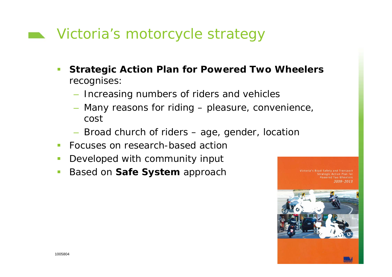# **Number** Victoria's motorcycle strategy

- **Strategic Action Plan for Powered Two Wheelers** recognises:
	- Increasing numbers of riders and vehicles
	- Many reasons for riding pleasure, convenience, cost
	- Broad church of riders age, gender, location
- **Focuses on research-based action**
- $\mathcal{C}^{\mathcal{A}}$ Developed with community input
- $\mathcal{L}_{\mathcal{A}}$ Based on **Safe System** approach

**Strategic Action Plan fo** Powered Two Wheelers

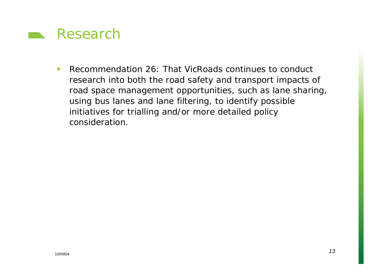

 $\mathbf{r}$  *Recommendation 26:* That VicRoads continues to conduct research into both the road safety and transport impacts of road space management opportunities, such as lane sharing, using bus lanes and lane filtering, to identify possible initiatives for trialling and/or more detailed policy consideration.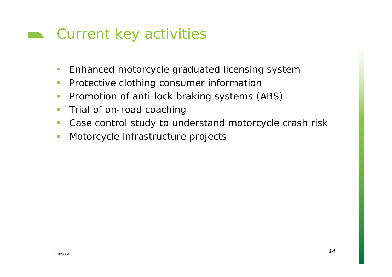### **EX** Current key activities

- $\mathcal{L}_{\mathcal{A}}$ Enhanced motorcycle graduated licensing system
- $\overline{\phantom{a}}$ Protective clothing consumer information
- $\mathcal{C}^{\mathcal{A}}$ Promotion of anti-lock braking systems (ABS)
- $\overline{\phantom{a}}$ Trial of on-road coaching
- $\mathcal{L}_{\mathcal{A}}$ Case control study to understand motorcycle crash risk
- $\mathbb{R}^n$ Motorcycle infrastructure projects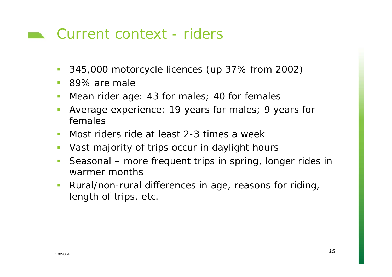#### **Current context - riders**

- $\mathcal{L}^{\mathcal{A}}$ 345,000 motorcycle licences (up 37% from 2002)
- 89% are male
- $\mathcal{L}_{\mathcal{A}}$ Mean rider age: 43 for males; 40 for females
- Average experience: 19 years for males; 9 years for females
- Most riders ride at least 2-3 times a week
- F Vast majority of trips occur in daylight hours
- Seasonal more frequent trips in spring, longer rides in warmer months
- $\mathcal{L}_{\mathcal{A}}$  Rural/non-rural differences in age, reasons for riding, length of trips, etc.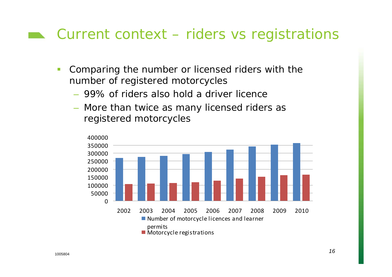### $\blacksquare$  Current context – riders vs registrations

- $\mathbb{R}^3$  Comparing the number or licensed riders with the number of registered motorcycles
	- 99% of riders also hold a driver licence
	- More than twice as many licensed riders as registered motorcycles

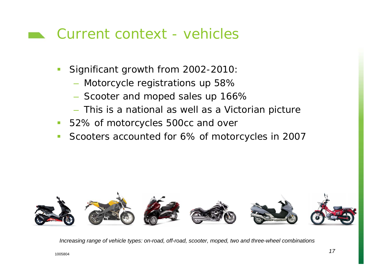### Current context - vehicles

- Significant growth from 2002-2010:
	- $-$  Motorcycle registrations up 58%  $\,$
	- Scooter and moped sales up 166%
	- This is a national as well as a Victorian picture
- $\mathcal{L}_{\mathcal{A}}$ 52% of motorcycles 500cc and over
- $\mathcal{L}_{\mathcal{A}}$ Scooters accounted for 6% of motorcycles in 2007



*Increasing range of vehicle types: on-road, off-road, scooter, moped, two and three-wheel combinations*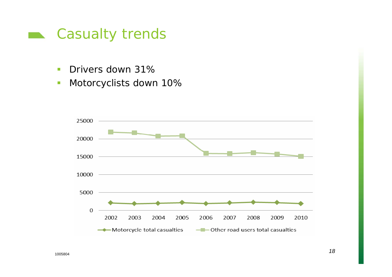

- $\overline{\phantom{a}}$ Drivers down 31%
- $\mathbb{R}^n$ Motorcyclists down 10%

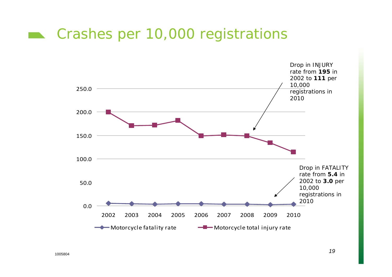### Crashes per 10,000 registrations

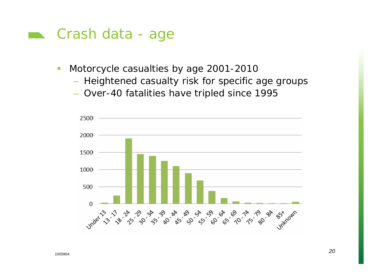#### **Example 25 Crash data - age**

- $\mathcal{L}_{\mathcal{A}}$  Motorcycle casualties by age 2001-2010
	- Heightened casualty risk for specific age groups
	- Over-40 fatalities have tripled since 1995

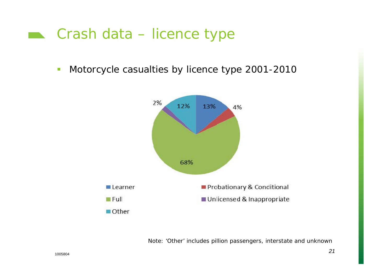#### **Example 25 Crash data – licence type**

 $\mathbb{Z}^2$ Motorcycle casualties by licence type 2001-2010



*Note: 'Other' includes pillion passengers, interstate and unknown*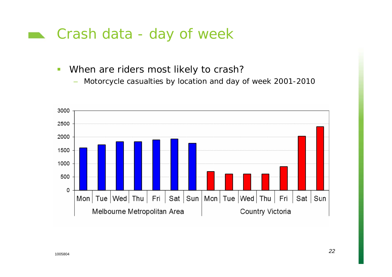#### **Example 25 Crash data - day of week**

- $\mathbb{Z}^2$  When are riders most likely to crash?
	- –Motorcycle casualties by location and day of week 2001-2010

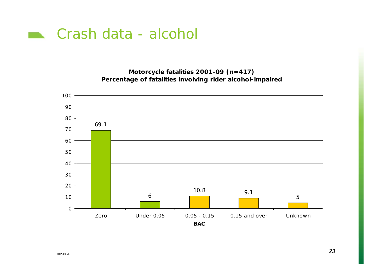

**Motorcycle fatalities 2001-09 (n=417) Percentage of fatalities involving rider alcohol-impaired**

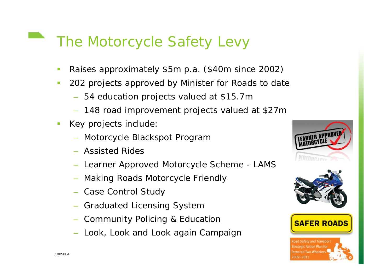# The Motorcycle Safety Levy

- Raises approximately \$5m p.a. (\$40m since 2002)
- $\mathcal{L}$  202 projects approved by Minister for Roads to date
	- 54 education projects valued at \$15.7m
	- 148 road improvement projects valued at \$27m
- Key projects include:
	- Motorcycle Blackspot Program
	- Assisted Rides
	- Learner Approved Motorcycle Scheme LAMS
	- Making Roads Motorcycle Friendly
	- Case Control Study
	- Graduated Licensing System
	- Community Policing & Education
	- Look, Look and Look again Campaign



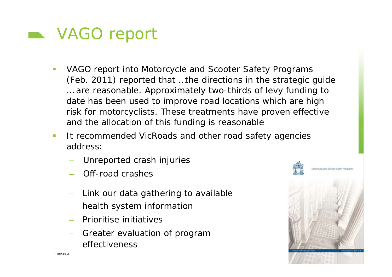

- $\mathcal{L}_{\mathcal{A}}$  VAGO report into Motorcycle and Scooter Safety Programs (Feb. 2011) reported that *…the directions in the strategic guide … are reasonable. Approximately two-thirds of levy funding to date has been used to improve road locations which are high risk for motorcyclists. These treatments have proven effective and the allocation of this funding is reasonable*
- $\mathcal{L}$  It recommended VicRoads and other road safety agencies address:
	- Unreported crash injuries
	- Off-road crashes
	- Link our data gathering to available health system information
	- Prioritise initiatives
	- Greater evaluation of program effectiveness

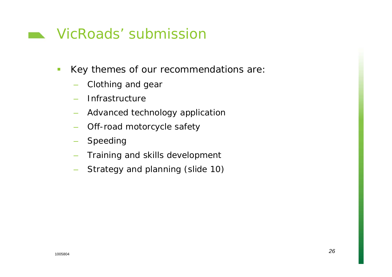### **Number Submission**

- $\mathbb{Z}^2$  Key themes of our recommendations are:
	- –Clothing and gear
	- –– Infrastructure
	- Advanced technology application
	- –Off-road motorcycle safety
	- Speeding
	- Training and skills development
	- –Strategy and planning (slide 10)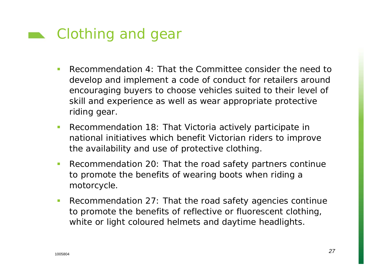

- *Recommendation 4:* That the Committee consider the need to develop and implement a code of conduct for retailers around encouraging buyers to choose vehicles suited to their level of skill and experience as well as wear appropriate protective riding gear.
- П *Recommendation 18:* That Victoria actively participate in national initiatives which benefit Victorian riders to improve the availability and use of protective clothing.
- $\mathcal{L}_{\mathcal{A}}$  *Recommendation 20:* That the road safety partners continue to promote the benefits of wearing boots when riding a motorcycle.
- $\mathcal{L}_{\mathcal{A}}$  *Recommendation 27:* That the road safety agencies continue to promote the benefits of reflective or fluorescent clothing, white or light coloured helmets and daytime headlights.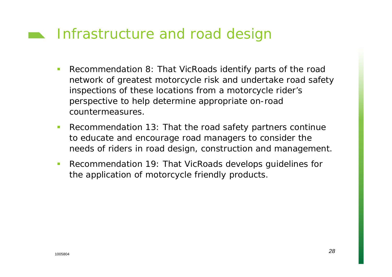# **Infrastructure and road design**

- *Recommendation 8:* That VicRoads identify parts of the road network of greatest motorcycle risk and undertake road safety inspections of these locations from a motorcycle rider's perspective to help determine appropriate on-road countermeasures.
- $\mathcal{C}_{\mathcal{A}}$  *Recommendation 13*: That the road safety partners continue to educate and encourage road managers to consider the needs of riders in road design, construction and management.
- $\mathcal{L}_{\mathcal{A}}$  *Recommendation 19:* That VicRoads develops guidelines for the application of motorcycle friendly products.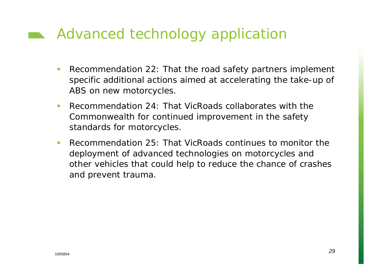# Advanced technology application

- *Recommendation 22:* That the road safety partners implement specific additional actions aimed at accelerating the take-up of ABS on new motorcycles.
- $\mathcal{L}_{\mathcal{A}}$  *Recommendation 24:* That VicRoads collaborates with the Commonwealth for continued improvement in the safety standards for motorcycles.
- $\mathcal{L}_{\mathcal{A}}$  *Recommendation 25:* That VicRoads continues to monitor the deployment of advanced technologies on motorcycles and other vehicles that could help to reduce the chance of crashes and prevent trauma.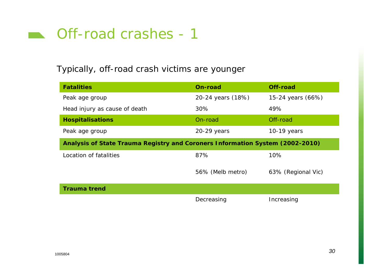

#### Typically, off-road crash victims are younger

| <b>Fatalities</b>                                                             | On-road           | Off-road           |
|-------------------------------------------------------------------------------|-------------------|--------------------|
| Peak age group                                                                | 20-24 years (18%) | 15-24 years (66%)  |
| Head injury as cause of death                                                 | 30%               | 49%                |
| <b>Hospitalisations</b>                                                       | On-road           | Off-road           |
| Peak age group                                                                | 20-29 years       | $10-19$ years      |
| Analysis of State Trauma Registry and Coroners Information System (2002-2010) |                   |                    |
| Location of fatalities                                                        | 87%               | 10%                |
|                                                                               | 56% (Melb metro)  | 63% (Regional Vic) |
| <b>Trauma trend</b>                                                           |                   |                    |
|                                                                               | Decreasing        | Increasing         |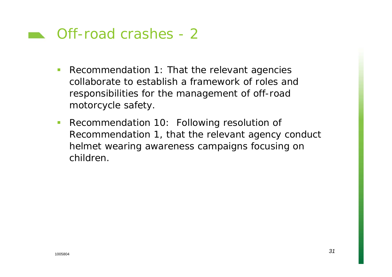#### **No. 12 Off-road crashes - 2**

- $\mathcal{L}_{\mathcal{A}}$  *Recommendation 1*: That the relevant agencies collaborate to establish a framework of roles and responsibilities for the management of off-road motorcycle safety.
- $\mathcal{L}_{\mathcal{A}}$  *Recommendation 10:* Following resolution of Recommendation 1, that the relevant agency conduct helmet wearing awareness campaigns focusing on children.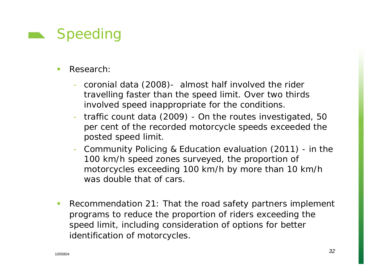# Speeding

- $\mathbf{u}$  Research:
	- coronial data (2008)- almost half involved the rider travelling faster than the speed limit. Over two thirds involved speed inappropriate for the conditions.
	- traffic count data (2009) On the routes investigated, 50 per cent of the recorded motorcycle speeds exceeded the posted speed limit.
	- Community Policing & Education evaluation (2011) in the 100 km/h speed zones surveyed, the proportion of motorcycles exceeding 100 km/h by more than 10 km/h was double that of cars.
- $\mathcal{L}_{\mathcal{A}}$  *Recommendation 21:* That the road safety partners implement programs to reduce the proportion of riders exceeding the speed limit, including consideration of options for better identification of motorcycles.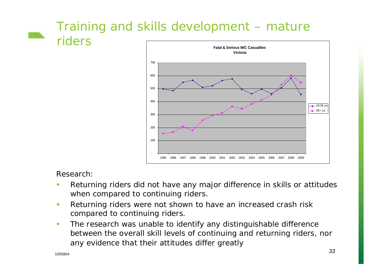### Training and skills development – mature riders



#### Research:

- $\mathcal{L}_{\mathcal{A}}$  Returning riders did not have any major difference in skills or attitudes when compared to continuing riders.
- $\overline{\mathbb{R}}$  Returning riders were not shown to have an increased crash risk compared to continuing riders.
- $\mathcal{C}^{\mathcal{A}}$  The research was unable to identify any distinguishable difference between the overall skill levels of continuing and returning riders, nor any evidence that their attitudes differ greatly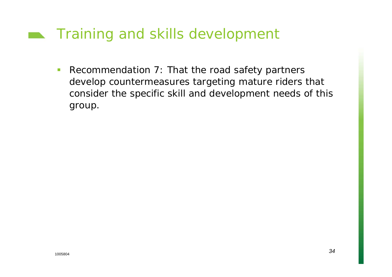# **Training and skills development**

 $\mathcal{L}_{\mathcal{A}}$  *Recommendation 7*: That the road safety partners develop countermeasures targeting mature riders that consider the specific skill and development needs of this group.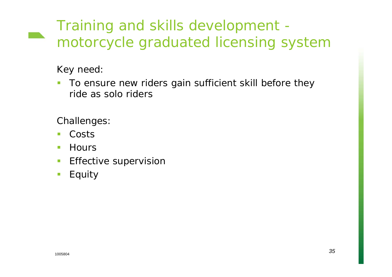# Training and skills development motorcycle graduated licensing system

#### Key need:

 $\mathcal{C}^{\mathcal{A}}$  To ensure new riders gain sufficient skill before they ride as solo riders

Challenges:

- $\mathcal{L}_{\mathcal{A}}$ ■ Costs
- $\mathcal{L}_{\mathcal{A}}$ **Hours**
- $\mathbb{R}^n$ Effective supervision
- $\mathcal{L}_{\mathcal{A}}$ Equity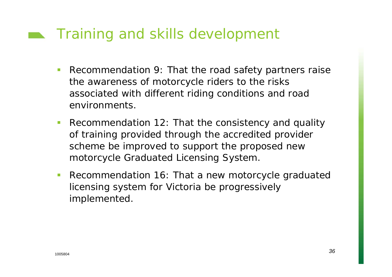# **Training and skills development**

- $\mathcal{L}_{\mathcal{A}}$  *Recommendation 9*: That the road safety partners raise the awareness of motorcycle riders to the risks associated with different riding conditions and road environments.
- $\mathcal{L}^{\mathcal{A}}$  *Recommendation 12:* That the consistency and quality of training provided through the accredited provider scheme be improved to support the proposed new motorcycle Graduated Licensing System.
- $\mathcal{L}_{\mathcal{A}}$  *Recommendation 16:* That a new motorcycle graduated licensing system for Victoria be progressively implemented.